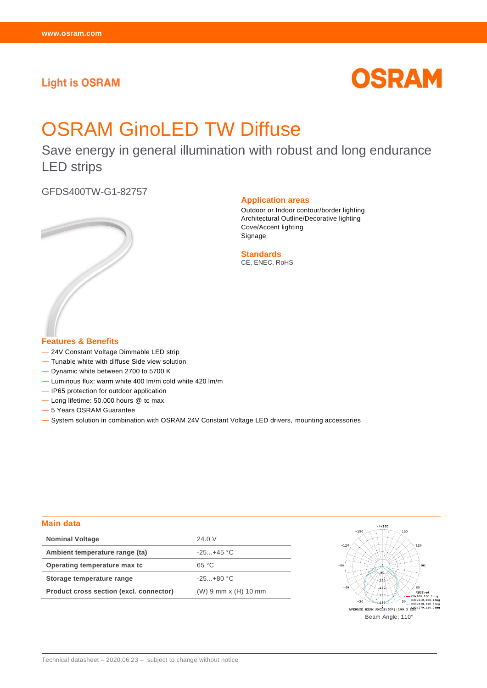# **Light is OSRAM**



# OSRAM GinoLED TW Diffuse

Save energy in general illumination with robust and long endurance LED strips

GFDS400TW-G1-82757



#### **Application areas**

Outdoor or Indoor contour/border lighting Architectural Outline/Decorative lighting Cove/Accent lighting Signage

**Standards** CE, ENEC, RoHS

**Features & Benefits**

- 24V Constant Voltage Dimmable LED strip
- Tunable white with diffuse Side view solution
- Dynamic white between 2700 to 5700 K
- Luminous flux: warm white 400 lm/m cold white 420 lm/m
- IP65 protection for outdoor application
- Long lifetime: 50.000 hours @ tc max
- 5 Years OSRAM Guarantee

— System solution in combination with OSRAM 24V Constant Voltage LED drivers, mounting accessories

#### **Main data**

| <b>Nominal Voltage</b>                  | 24.0 V                      |
|-----------------------------------------|-----------------------------|
| Ambient temperature range (ta)          | $-25 + 45$ °C               |
| Operating temperature max to            | 65 °C                       |
| Storage temperature range               | $-25+80 °C$                 |
| Product cross section (excl. connector) | $(W) 9 mm \times (H) 10 mm$ |

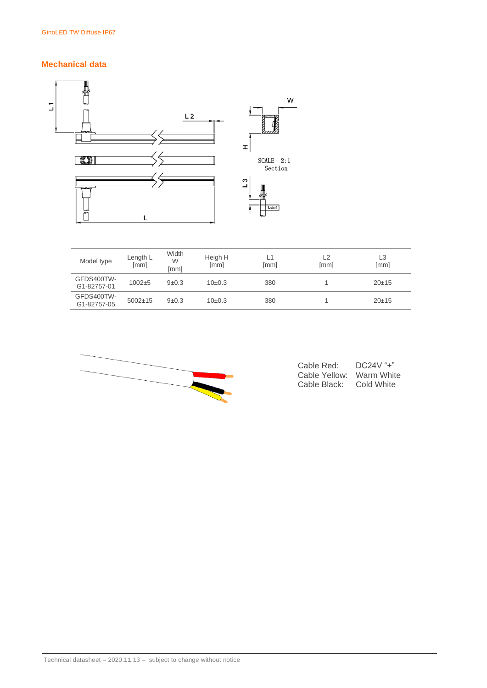# **Mechanical data**



| Model type                | Length L<br>[mm] | Width<br>W<br>[mm] | Heigh H<br>[mm] | L1<br>[mm] | L <sub>2</sub><br>[mm] | L3<br>[mm] |
|---------------------------|------------------|--------------------|-----------------|------------|------------------------|------------|
| GFDS400TW-<br>G1-82757-01 | $1002 + 5$       | 9±0.3              | $10\pm0.3$      | 380        |                        | 20±15      |
| GFDS400TW-<br>G1-82757-05 | $5002 \pm 15$    | 9±0.3              | $10\pm0.3$      | 380        |                        | 20±15      |



| Cable Red:    | DC24   |
|---------------|--------|
| Cable Yellow: | Warm   |
| Cable Black:  | Cold W |

 $\mathcal{U}^{\mu}$ <sup>"</sup> White Vhite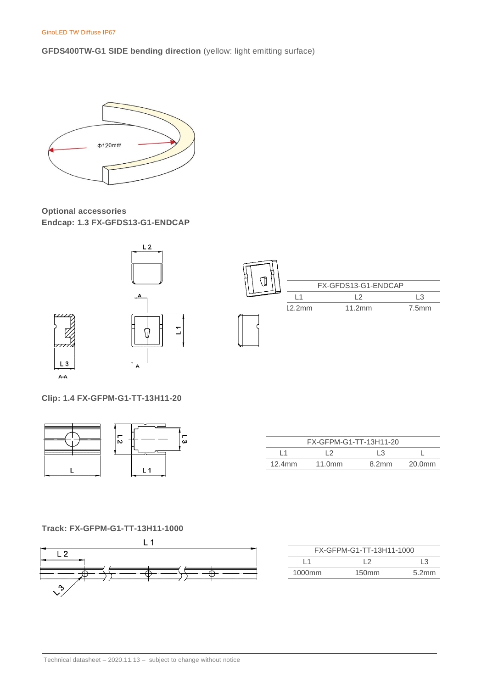GinoLED TW Diffuse IP67

**GFDS400TW-G1 SIDE bending direction** (yellow: light emitting surface)



**Optional accessories Endcap: 1.3 FX-GFDS13-G1-ENDCAP**



**Clip: 1.4 FX-GFPM-G1-TT-13H11-20**



| FX-GFPM-G1-TT-13H11-20 |        |       |        |  |
|------------------------|--------|-------|--------|--|
|                        |        | 13    |        |  |
| $12.4$ mm              | 11.0mm | 8.2mm | 20.0mm |  |

## **Track: FX-GFPM-G1-TT-13H11-1000**



| FX-GFPM-G1-TT-13H11-1000 |                   |       |  |  |  |
|--------------------------|-------------------|-------|--|--|--|
| LЗ<br>l 1                |                   |       |  |  |  |
| 1000 <sub>mm</sub>       | 150 <sub>mm</sub> | 5.2mm |  |  |  |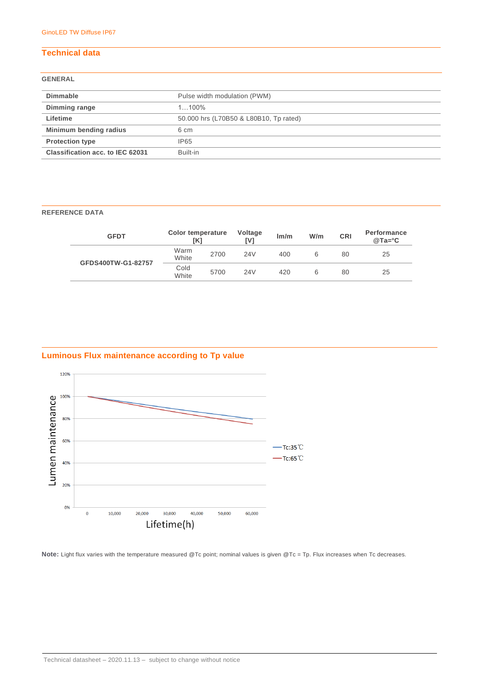# **Technical data**

### **GENERAL**

| Dimmable                         | Pulse width modulation (PWM)           |  |  |
|----------------------------------|----------------------------------------|--|--|
| Dimming range                    | $1, 100\%$                             |  |  |
| Lifetime                         | 50.000 hrs (L70B50 & L80B10, Tp rated) |  |  |
| Minimum bending radius           | 6 cm                                   |  |  |
| <b>Protection type</b>           | IP65                                   |  |  |
| Classification acc. to IEC 62031 | Built-in                               |  |  |

#### **REFERENCE DATA**

| <b>GFDT</b>        | Color temperature<br>TK1 |      | Voltage<br>IV1 | Im/m | W/m | <b>CRI</b> | <b>Performance</b><br>$@Ta = c$ |
|--------------------|--------------------------|------|----------------|------|-----|------------|---------------------------------|
|                    | Warm<br>White            | 2700 | 24V            | 400  | 6   | 80         | 25                              |
| GFDS400TW-G1-82757 | Cold<br>White            | 5700 | 24V            | 420  | 6   | 80         | 25                              |

# **Luminous Flux maintenance according to Tp value**



Note: Light flux varies with the temperature measured @Tc point; nominal values is given @Tc = Tp. Flux increases when Tc decreases.